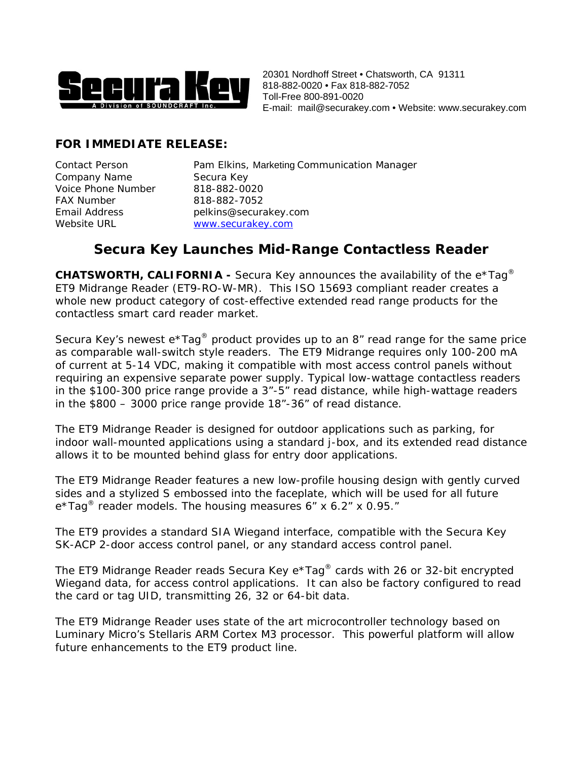

20301 Nordhoff Street • Chatsworth, CA 91311 818-882-0020 • Fax 818-882-7052 Toll-Free 800-891-0020 E-mail: [mail@securakey.com](mailto:mail@securakey.com) • Website: www.securakey.com

## **FOR IMMEDIATE RELEASE:**

Company Name Secura Key Voice Phone Number 818-882-0020 FAX Number 818-882-7052

Contact Person Pam Elkins, Marketing Communication Manager Email Address pelkins@securakey.com Website URL WWW.securakey.com

## **Secura Key Launches Mid-Range Contactless Reader**

**CHATSWORTH, CALIFORNIA -** Secura Key announces the availability of the e\*Tag® ET9 Midrange Reader (ET9-RO-W-MR). This ISO 15693 compliant reader creates a whole new product category of cost-effective extended read range products for the contactless smart card reader market.

Secura Key's newest  $e^{\star}$ Tag<sup>®</sup> product provides up to an 8" read range for the same price as comparable wall-switch style readers. The ET9 Midrange requires only 100-200 mA of current at 5-14 VDC, making it compatible with most access control panels without requiring an expensive separate power supply. Typical low-wattage contactless readers in the \$100-300 price range provide a 3"-5" read distance, while high-wattage readers in the \$800 – 3000 price range provide 18"-36" of read distance.

The ET9 Midrange Reader is designed for outdoor applications such as parking, for indoor wall-mounted applications using a standard j-box, and its extended read distance allows it to be mounted behind glass for entry door applications.

The ET9 Midrange Reader features a new low-profile housing design with gently curved sides and a stylized S embossed into the faceplate, which will be used for all future  $e^{\star}$ Tag<sup>®</sup> reader models. The housing measures 6" x 6.2" x 0.95."

The ET9 provides a standard SIA Wiegand interface, compatible with the Secura Key SK-ACP 2-door access control panel, or any standard access control panel.

The ET9 Midrange Reader reads Secura Key e\*Tag® cards with 26 or 32-bit encrypted Wiegand data, for access control applications. It can also be factory configured to read the card or tag UID, transmitting 26, 32 or 64-bit data.

The ET9 Midrange Reader uses state of the art microcontroller technology based on Luminary Micro's Stellaris ARM Cortex M3 processor. This powerful platform will allow future enhancements to the ET9 product line.